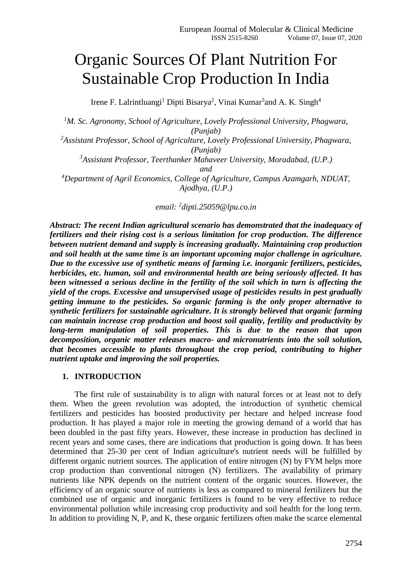# Organic Sources Of Plant Nutrition For Sustainable Crop Production In India

Irene F. Lalrintluangi<sup>1</sup> Dipti Bisarya<sup>2</sup>, Vinai Kumar<sup>3</sup>and A. K. Singh<sup>4</sup>

*<sup>1</sup>M. Sc. Agronomy, School of Agriculture, Lovely Professional University, Phagwara, (Punjab) <sup>2</sup>Assistant Professor, School of Agriculture, Lovely Professional University, Phagwara, (Punjab) <sup>3</sup>Assistant Professor, Teerthanker Mahaveer University, Moradabad, (U.P.) and <sup>4</sup>Department of Agril Economics, College of Agriculture, Campus Azamgarh, NDUAT, Ajodhya, (U.P.)*

*email: <sup>2</sup> dipti.25059@lpu.co.in*

*Abstract: The recent Indian agricultural scenario has demonstrated that the inadequacy of fertilizers and their rising cost is a serious limitation for crop production. The difference between nutrient demand and supply is increasing gradually. Maintaining crop production and soil health at the same time is an important upcoming major challenge in agriculture. Due to the excessive use of synthetic means of farming i.e. inorganic fertilizers, pesticides, herbicides, etc. human, soil and environmental health are being seriously affected. It has been witnessed a serious decline in the fertility of the soil which in turn is affecting the yield of the crops. Excessive and unsupervised usage of pesticides results in pest gradually getting immune to the pesticides. So organic farming is the only proper alternative to synthetic fertilizers for sustainable agriculture. It is strongly believed that organic farming can maintain increase crop production and boost soil quality, fertility and productivity by long-term manipulation of soil properties. This is due to the reason that upon decomposition, organic matter releases macro- and micronutrients into the soil solution, that becomes accessible to plants throughout the crop period, contributing to higher nutrient uptake and improving the soil properties.*

### **1. INTRODUCTION**

The first rule of sustainability is to align with natural forces or at least not to defy them. When the green revolution was adopted, the introduction of synthetic chemical fertilizers and pesticides has boosted productivity per hectare and helped increase food production. It has played a major role in meeting the growing demand of a world that has been doubled in the past fifty years. However, these increase in production has declined in recent years and some cases, there are indications that production is going down. It has been determined that 25-30 per cent of Indian agriculture's nutrient needs will be fulfilled by different organic nutrient sources. The application of entire nitrogen (N) by FYM helps more crop production than conventional nitrogen (N) fertilizers. The availability of primary nutrients like NPK depends on the nutrient content of the organic sources. However, the efficiency of an organic source of nutrients is less as compared to mineral fertilizers but the combined use of organic and inorganic fertilizers is found to be very effective to reduce environmental pollution while increasing crop productivity and soil health for the long term. In addition to providing N, P, and K, these organic fertilizers often make the scarce elemental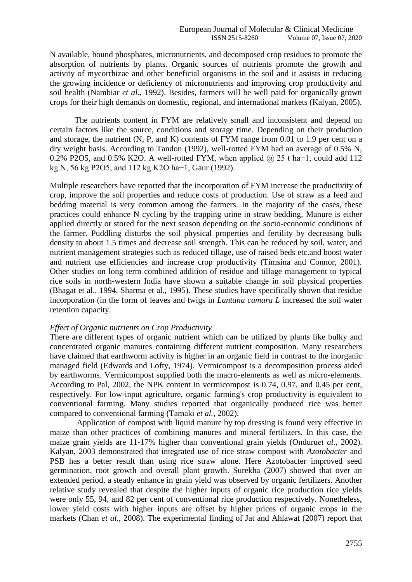N available, bound phosphates, micronutrients, and decomposed crop residues to promote the absorption of nutrients by plants. Organic sources of nutrients promote the growth and activity of mycorrhizae and other beneficial organisms in the soil and it assists in reducing the growing incidence or deficiency of micronutrients and improving crop productivity and soil health (Nambiar *et al*., 1992). Besides, farmers will be well paid for organically grown crops for their high demands on domestic, regional, and international markets (Kalyan, 2005).

The nutrients content in FYM are relatively small and inconsistent and depend on certain factors like the source, conditions and storage time. Depending on their production and storage, the nutrient (N, P, and K) contents of FYM range from 0.01 to 1.9 per cent on a dry weight basis. According to Tandon (1992), well-rotted FYM had an average of 0.5% N, 0.2% P2O5, and 0.5% K2O. A well-rotted FYM, when applied @ 25 t ha−1, could add 112 kg N, 56 kg P2O5, and 112 kg K2O ha−1, Gaur (1992).

Multiple researchers have reported that the incorporation of FYM increase the productivity of crop, improve the soil properties and reduce costs of production. Use of straw as a feed and bedding material is very common among the farmers. In the majority of the cases, these practices could enhance N cycling by the trapping urine in straw bedding. Manure is either applied directly or stored for the next season depending on the socio-economic conditions of the farmer. Puddling disturbs the soil physical properties and fertility by decreasing bulk density to about 1.5 times and decrease soil strength. This can be reduced by soil, water, and nutrient management strategies such as reduced tillage, use of raised beds etc.and boost water and nutrient use efficiencies and increase crop productivity (Timsina and Connor, 2001). Other studies on long term combined addition of residue and tillage management to typical rice soils in north-western India have shown a suitable change in soil physical properties (Bhagat et al., 1994, Sharma et al., 1995). These studies have specifically shown that residue incorporation (in the form of leaves and twigs in *Lantana camara L* increased the soil water retention capacity.

### *Effect of Organic nutrients on Crop Productivity*

There are different types of organic nutrient which can be utilized by plants like bulky and concentrated organic manures containing different nutrient composition. Many researchers have claimed that earthworm activity is higher in an organic field in contrast to the inorganic managed field (Edwards and Lofty, 1974). Vermicompost is a decomposition process aided by earthworms. Vermicompost supplied both the macro-elements as well as micro-elements. According to Pal, 2002, the NPK content in vermicompost is 0.74, 0.97, and 0.45 per cent, respectively. For low-input agriculture, organic farming's crop productivity is equivalent to conventional farming. Many studies reported that organically produced rice was better compared to conventional farming (Tamaki *et al.,* 2002).

Application of compost with liquid manure by top dressing is found very effective in maize than other practices of combining manures and mineral fertilizers. In this case, the maize grain yields are 11-17% higher than conventional grain yields (Onduru*et al.,* 2002). Kalyan, 2003 demonstrated that integrated use of rice straw compost with *Azotobacter* and PSB has a better result than using rice straw alone. Here Azotobacter improved seed germination, root growth and overall plant growth. Surekha (2007) showed that over an extended period, a steady enhance in grain yield was observed by organic fertilizers. Another relative study revealed that despite the higher inputs of organic rice production rice yields were only 55, 94, and 82 per cent of conventional rice production respectively. Nonetheless, lower yield costs with higher inputs are offset by higher prices of organic crops in the markets (Chan *et al.,* 2008). The experimental finding of Jat and Ahlawat (2007) report that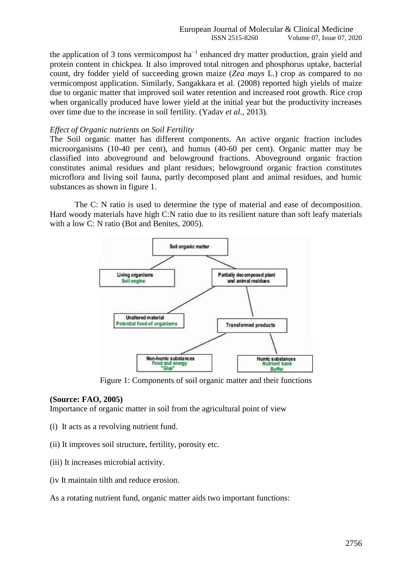the application of 3 tons vermicompost  $ha^{-1}$  enhanced dry matter production, grain yield and protein content in chickpea. It also improved total nitrogen and phosphorus uptake, bacterial count, dry fodder yield of succeeding grown maize (*Zea mays* L.) crop as compared to no vermicompost application. Similarly, Sangakkara et al. (2008) reported high yields of maize due to organic matter that improved soil water retention and increased root growth. Rice crop when organically produced have lower yield at the initial year but the productivity increases over time due to the increase in soil fertility. (Yadav *et al.,* 2013).

#### *Effect of Organic nutrients on Soil Fertility*

The Soil organic matter has different components. An active organic fraction includes microorganisms (10-40 per cent), and humus (40-60 per cent). Organic matter may be classified into aboveground and belowground fractions. Aboveground organic fraction constitutes animal residues and plant residues; belowground organic fraction constitutes microflora and living soil fauna, partly decomposed plant and animal residues, and humic substances as shown in figure 1.

The C: N ratio is used to determine the type of material and ease of decomposition. Hard woody materials have high C:N ratio due to its resilient nature than soft leafy materials with a low C: N ratio (Bot and Benites, 2005).



Figure 1: Components of soil organic matter and their functions

## **(Source: FAO, 2005)**

Importance of organic matter in soil from the agricultural point of view

- (i) It acts as a revolving nutrient fund.
- (ii) It improves soil structure, fertility, porosity etc.
- (iii) It increases microbial activity.
- (iv It maintain tilth and reduce erosion.

As a rotating nutrient fund, organic matter aids two important functions: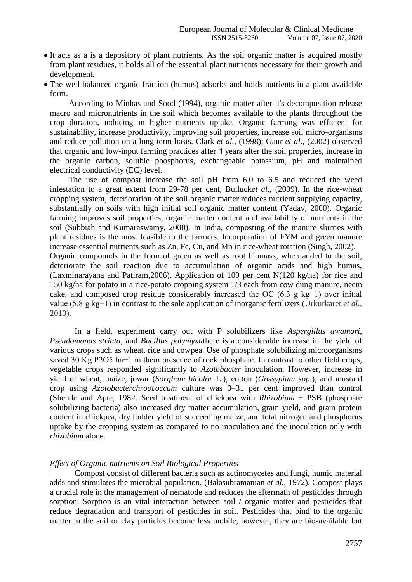- It acts as a is a depository of plant nutrients. As the soil organic matter is acquired mostly from plant residues, it holds all of the essential plant nutrients necessary for their growth and development.
- The well balanced organic fraction (humus) adsorbs and holds nutrients in a plant-available form.

According to Minhas and Sood (1994), organic matter after it's decomposition release macro and micronutrients in the soil which becomes available to the plants throughout the crop duration, inducing in higher nutrients uptake. Organic farming was efficient for sustainability, increase productivity, improving soil properties, increase soil micro-organisms and reduce pollution on a long-term basis. Clark *et al.,* (1998); Gaur *et al.,* (2002) observed that organic and low-input farming practices after 4 years alter the soil properties, increase in the organic carbon, soluble phosphorus, exchangeable potassium, pH and maintained electrical conductivity (EC) level.

The use of compost increase the soil pH from 6.0 to 6.5 and reduced the weed infestation to a great extent from 29-78 per cent, Bulluck*et al.,* (2009). In the rice-wheat cropping system, deterioration of the soil organic matter reduces nutrient supplying capacity, substantially on soils with high initial soil organic matter content (Yadav, 2000). Organic farming improves soil properties, organic matter content and availability of nutrients in the soil (Subbiah and Kumaraswamy, 2000). In India, composting of the manure slurries with plant residues is the most feasible to the farmers. Incorporation of FYM and green manure increase essential nutrients such as Zn, Fe, Cu, and Mn in rice-wheat rotation (Singh, 2002). Organic compounds in the form of green as well as root biomass, when added to the soil, deteriorate the soil reaction due to accumulation of organic acids and high humus, (Laxminarayana and Patiram,2006). Application of 100 per cent N(120 kg/ha) for rice and 150 kg/ha for potato in a rice-potato cropping system 1/3 each from cow dung manure, neem cake, and composed crop residue considerably increased the OC (6.3 g kg−1) over initial value (5.8 g kg−1) in contrast to the sole application of inorganic fertilizers (Urkurkaret *et al.,* 2010).

In a field, experiment carry out with P solubilizers like *Aspergillus awamori*, *Pseudomonas striata*, and *Bacillus polymyxa*there is a considerable increase in the yield of various crops such as wheat, rice and cowpea. Use of phosphate solubilizing microorganisms saved 30 Kg P2O5 ha−1 in thein presence of rock phosphate. In contrast to other field crops, vegetable crops responded significantly to *Azotobacter* inoculation. However, increase in yield of wheat, maize, jowar (*Sorghum bicolor* L.), cotton (*Gossypium spp.*), and mustard crop using *Azotobacterchroococcum* culture was 0–31 per cent improved than control (Shende and Apte, 1982. Seed treatment of chickpea with *Rhizobium* + PSB (phosphate solubilizing bacteria) also increased dry matter accumulation, grain yield, and grain protein content in chickpea, dry fodder yield of succeeding maize, and total nitrogen and phosphorus uptake by the cropping system as compared to no inoculation and the inoculation only with *rhizobium* alone.

#### *Effect of Organic nutrients on Soil Biological Properties*

Compost consist of different bacteria such as actinomycetes and fungi, humic material adds and stimulates the microbial population. (Balasubramanian *et al.,* 1972). Compost plays a crucial role in the management of nematode and reduces the aftermath of pesticides through sorption. Sorption is an vital interaction between soil / organic matter and pesticides that reduce degradation and transport of pesticides in soil. Pesticides that bind to the organic matter in the soil or clay particles become less mobile, however, they are bio-available but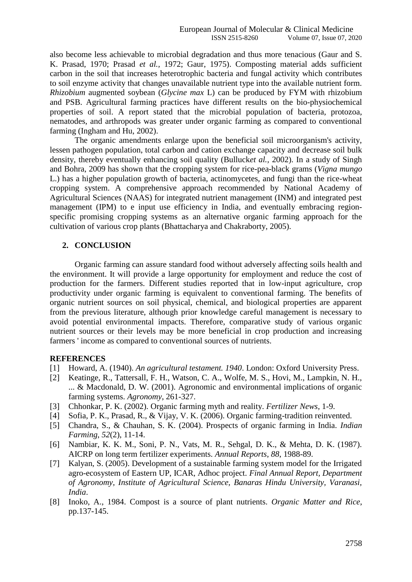also become less achievable to microbial degradation and thus more tenacious (Gaur and S. K. Prasad, 1970; Prasad *et al.,* 1972; Gaur, 1975). Composting material adds sufficient carbon in the soil that increases heterotrophic bacteria and fungal activity which contributes to soil enzyme activity that changes unavailable nutrient type into the available nutrient form. *Rhizobium* augmented soybean (*Glycine max* L) can be produced by FYM with rhizobium and PSB. Agricultural farming practices have different results on the bio-physiochemical properties of soil. A report stated that the microbial population of bacteria, protozoa, nematodes, and arthropods was greater under organic farming as compared to conventional farming (Ingham and Hu, 2002).

The organic amendments enlarge upon the beneficial soil microorganism's activity, lessen pathogen population, total carbon and cation exchange capacity and decrease soil bulk density, thereby eventually enhancing soil quality (Bulluck*et al.,* 2002). In a study of Singh and Bohra, 2009 has shown that the cropping system for rice-pea-black grams (*Vigna mungo* L.) has a higher population growth of bacteria, actinomycetes, and fungi than the rice-wheat cropping system. A comprehensive approach recommended by National Academy of Agricultural Sciences (NAAS) for integrated nutrient management (INM) and integrated pest management (IPM) to e input use efficiency in India, and eventually embracing regionspecific promising cropping systems as an alternative organic farming approach for the cultivation of various crop plants (Bhattacharya and Chakraborty, 2005).

### **2. CONCLUSION**

Organic farming can assure standard food without adversely affecting soils health and the environment. It will provide a large opportunity for employment and reduce the cost of production for the farmers. Different studies reported that in low-input agriculture, crop productivity under organic farming is equivalent to conventional farming. The benefits of organic nutrient sources on soil physical, chemical, and biological properties are apparent from the previous literature, although prior knowledge careful management is necessary to avoid potential environmental impacts. Therefore, comparative study of various organic nutrient sources or their levels may be more beneficial in crop production and increasing farmers ' income as compared to conventional sources of nutrients.

### **REFERENCES**

- [1] Howard, A. (1940). *An agricultural testament. 1940*. London: Oxford University Press.
- [2] Keatinge, R., Tattersall, F. H., Watson, C. A., Wolfe, M. S., Hovi, M., Lampkin, N. H., ... & Macdonald, D. W. (2001). Agronomic and environmental implications of organic farming systems. *Agronomy*, 261-327.
- [3] Chhonkar, P. K. (2002). Organic farming myth and reality. *Fertilizer News*, 1-9.
- [4] Sofia, P. K., Prasad, R., & Vijay, V. K. (2006). Organic farming-tradition reinvented.
- [5] Chandra, S., & Chauhan, S. K. (2004). Prospects of organic farming in India. *Indian Farming*, *52*(2), 11-14.
- [6] Nambiar, K. K. M., Soni, P. N., Vats, M. R., Sehgal, D. K., & Mehta, D. K. (1987). AICRP on long term fertilizer experiments. *Annual Reports*, *88*, 1988-89.
- [7] Kalyan, S. (2005). Development of a sustainable farming system model for the Irrigated agro-ecosystem of Eastern UP, ICAR, Adhoc project. *Final Annual Report, Department of Agronomy, Institute of Agricultural Science, Banaras Hindu University, Varanasi, India*.
- [8] Inoko, A., 1984. Compost is a source of plant nutrients. *Organic Matter and Rice*, pp.137-145.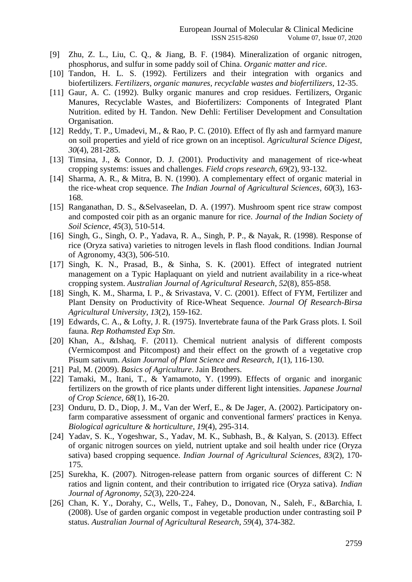- [9] Zhu, Z. L., Liu, C. Q., & Jiang, B. F. (1984). Mineralization of organic nitrogen, phosphorus, and sulfur in some paddy soil of China. *Organic matter and rice*.
- [10] Tandon, H. L. S. (1992). Fertilizers and their integration with organics and biofertilizers. *Fertilizers, organic manures, recyclable wastes and biofertilizers*, 12-35.
- [11] Gaur, A. C. (1992). Bulky organic manures and crop residues. Fertilizers, Organic Manures, Recyclable Wastes, and Biofertilizers: Components of Integrated Plant Nutrition. edited by H. Tandon. New Dehli: Fertiliser Development and Consultation Organisation.
- [12] Reddy, T. P., Umadevi, M., & Rao, P. C. (2010). Effect of fly ash and farmyard manure on soil properties and yield of rice grown on an inceptisol. *Agricultural Science Digest*, *30*(4), 281-285.
- [13] Timsina, J., & Connor, D. J. (2001). Productivity and management of rice-wheat cropping systems: issues and challenges. *Field crops research*, *69*(2), 93-132.
- [14] Sharma, A. R., & Mitra, B. N. (1990). A complementary effect of organic material in the rice-wheat crop sequence. *The Indian Journal of Agricultural Sciences*, *60*(3), 163- 168.
- [15] Ranganathan, D. S., &Selvaseelan, D. A. (1997). Mushroom spent rice straw compost and composted coir pith as an organic manure for rice. *Journal of the Indian Society of Soil Science*, *45*(3), 510-514.
- [16] Singh, G., Singh, O. P., Yadava, R. A., Singh, P. P., & Nayak, R. (1998). Response of rice (Oryza sativa) varieties to nitrogen levels in flash flood conditions. Indian Journal of Agronomy, 43(3), 506-510.
- [17] Singh, K. N., Prasad, B., & Sinha, S. K. (2001). Effect of integrated nutrient management on a Typic Haplaquant on yield and nutrient availability in a rice-wheat cropping system. *Australian Journal of Agricultural Research*, *52*(8), 855-858.
- [18] Singh, K. M., Sharma, I. P., & Srivastava, V. C. (2001). Effect of FYM, Fertilizer and Plant Density on Productivity of Rice-Wheat Sequence. *Journal Of Research-Birsa Agricultural University*, *13*(2), 159-162.
- [19] Edwards, C. A., & Lofty, J. R. (1975). Invertebrate fauna of the Park Grass plots. I. Soil fauna. *Rep Rothamsted Exp Stn*.
- [20] Khan, A., &Ishaq, F. (2011). Chemical nutrient analysis of different composts (Vermicompost and Pitcompost) and their effect on the growth of a vegetative crop Pisum sativum. *Asian Journal of Plant Science and Research*, *1*(1), 116-130.
- [21] Pal, M. (2009). *Basics of Agriculture*. Jain Brothers.
- [22] Tamaki, M., Itani, T., & Yamamoto, Y. (1999). Effects of organic and inorganic fertilizers on the growth of rice plants under different light intensities. *Japanese Journal of Crop Science*, *68*(1), 16-20.
- [23] Onduru, D. D., Diop, J. M., Van der Werf, E., & De Jager, A. (2002). Participatory onfarm comparative assessment of organic and conventional farmers' practices in Kenya. *Biological agriculture & horticulture*, *19*(4), 295-314.
- [24] Yadav, S. K., Yogeshwar, S., Yadav, M. K., Subhash, B., & Kalyan, S. (2013). Effect of organic nitrogen sources on yield, nutrient uptake and soil health under rice (Oryza sativa) based cropping sequence. *Indian Journal of Agricultural Sciences*, *83*(2), 170- 175.
- [25] Surekha, K. (2007). Nitrogen-release pattern from organic sources of different C: N ratios and lignin content, and their contribution to irrigated rice (Oryza sativa). *Indian Journal of Agronomy*, *52*(3), 220-224.
- [26] Chan, K. Y., Dorahy, C., Wells, T., Fahey, D., Donovan, N., Saleh, F., &Barchia, I. (2008). Use of garden organic compost in vegetable production under contrasting soil P status. *Australian Journal of Agricultural Research*, *59*(4), 374-382.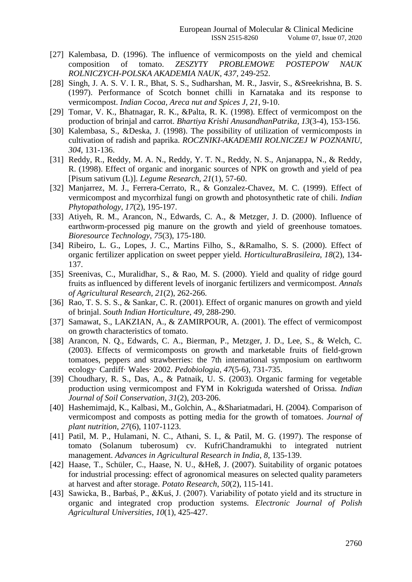- [27] Kalembasa, D. (1996). The influence of vermicomposts on the yield and chemical composition of tomato. *ZESZYTY PROBLEMOWE POSTEPOW NAUK ROLNICZYCH-POLSKA AKADEMIA NAUK*, *437*, 249-252.
- [28] Singh, J. A. S. V. I. R., Bhat, S. S., Sudharshan, M. R., Jasvir, S., &Sreekrishna, B. S. (1997). Performance of Scotch bonnet chilli in Karnataka and its response to vermicompost. *Indian Cocoa, Areca nut and Spices J*, *21*, 9-10.
- [29] Tomar, V. K., Bhatnagar, R. K., &Palta, R. K. (1998). Effect of vermicompost on the production of brinjal and carrot. *Bhartiya Krishi AnusandhanPatrika*, *13*(3-4), 153-156.
- [30] Kalembasa, S., &Deska, J. (1998). The possibility of utilization of vermicomposts in cultivation of radish and paprika. *ROCZNIKI-AKADEMII ROLNICZEJ W POZNANIU*, *304*, 131-136.
- [31] Reddy, R., Reddy, M. A. N., Reddy, Y. T. N., Reddy, N. S., Anjanappa, N., & Reddy, R. (1998). Effect of organic and inorganic sources of NPK on growth and yield of pea [Pisum sativum (L)]. *Legume Research*, *21*(1), 57-60.
- [32] Manjarrez, M. J., Ferrera-Cerrato, R., & Gonzalez-Chavez, M. C. (1999). Effect of vermicompost and mycorrhizal fungi on growth and photosynthetic rate of chili. *Indian Phytopathology*, *17*(2), 195-197.
- [33] Ativeh, R. M., Arancon, N., Edwards, C. A., & Metzger, J. D. (2000). Influence of earthworm-processed pig manure on the growth and yield of greenhouse tomatoes. *Bioresource Technology*, *75*(3), 175-180.
- [34] Ribeiro, L. G., Lopes, J. C., Martins Filho, S., &Ramalho, S. S. (2000). Effect of organic fertilizer application on sweet pepper yield. *HorticulturaBrasileira*, *18*(2), 134- 137.
- [35] Sreenivas, C., Muralidhar, S., & Rao, M. S. (2000). Yield and quality of ridge gourd fruits as influenced by different levels of inorganic fertilizers and vermicompost. *Annals of Agricultural Research*, *21*(2), 262-266.
- [36] Rao, T. S. S. S., & Sankar, C. R. (2001). Effect of organic manures on growth and yield of brinjal. *South Indian Horticulture*, *49*, 288-290.
- [37] Samawat, S., LAKZIAN, A., & ZAMIRPOUR, A. (2001). The effect of vermicompost on growth characteristics of tomato.
- [38] Arancon, N. Q., Edwards, C. A., Bierman, P., Metzger, J. D., Lee, S., & Welch, C. (2003). Effects of vermicomposts on growth and marketable fruits of field-grown tomatoes, peppers and strawberries: the 7th international symposium on earthworm ecology· Cardiff· Wales· 2002. *Pedobiologia*, *47*(5-6), 731-735.
- [39] Choudhary, R. S., Das, A., & Patnaik, U. S. (2003). Organic farming for vegetable production using vermicompost and FYM in Kokriguda watershed of Orissa. *Indian Journal of Soil Conservation*, *31*(2), 203-206.
- [40] Hashemimajd, K., Kalbasi, M., Golchin, A., &Shariatmadari, H. (2004). Comparison of vermicompost and composts as potting media for the growth of tomatoes. *Journal of plant nutrition*, *27*(6), 1107-1123.
- [41] Patil, M. P., Hulamani, N. C., Athani, S. I., & Patil, M. G. (1997). The response of tomato (Solanum tuberosum) cv. KufriChandramukhi to integrated nutrient management. *Advances in Agricultural Research in India*, *8*, 135-139.
- [42] Haase, T., Schüler, C., Haase, N. U., &Heß, J. (2007). Suitability of organic potatoes for industrial processing: effect of agronomical measures on selected quality parameters at harvest and after storage. *Potato Research*, *50*(2), 115-141.
- [43] Sawicka, B., Barbaś, P., &Kuś, J. (2007). Variability of potato yield and its structure in organic and integrated crop production systems. *Electronic Journal of Polish Agricultural Universities*, *10*(1), 425-427.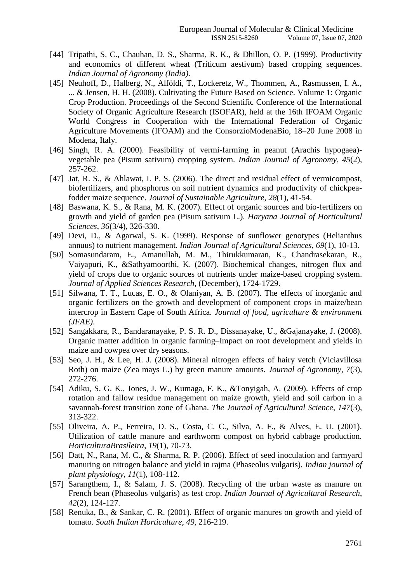- [44] Tripathi, S. C., Chauhan, D. S., Sharma, R. K., & Dhillon, O. P. (1999). Productivity and economics of different wheat (Triticum aestivum) based cropping sequences. *Indian Journal of Agronomy (India)*.
- [45] Neuhoff, D., Halberg, N., Alföldi, T., Lockeretz, W., Thommen, A., Rasmussen, I. A., ... & Jensen, H. H. (2008). Cultivating the Future Based on Science. Volume 1: Organic Crop Production. Proceedings of the Second Scientific Conference of the International Society of Organic Agriculture Research (ISOFAR), held at the 16th IFOAM Organic World Congress in Cooperation with the International Federation of Organic Agriculture Movements (IFOAM) and the ConsorzioModenaBio, 18–20 June 2008 in Modena, Italy.
- [46] Singh, R. A. (2000). Feasibility of vermi-farming in peanut (Arachis hypogaea) vegetable pea (Pisum sativum) cropping system. *Indian Journal of Agronomy*, *45*(2), 257-262.
- [47] Jat, R. S., & Ahlawat, I. P. S. (2006). The direct and residual effect of vermicompost, biofertilizers, and phosphorus on soil nutrient dynamics and productivity of chickpeafodder maize sequence. *Journal of Sustainable Agriculture*, *28*(1), 41-54.
- [48] Baswana, K. S., & Rana, M. K. (2007). Effect of organic sources and bio-fertilizers on growth and yield of garden pea (Pisum sativum L.). *Haryana Journal of Horticultural Sciences*, *36*(3/4), 326-330.
- [49] Devi, D., & Agarwal, S. K. (1999). Response of sunflower genotypes (Helianthus annuus) to nutrient management. *Indian Journal of Agricultural Sciences*, *69*(1), 10-13.
- [50] Somasundaram, E., Amanullah, M. M., Thirukkumaran, K., Chandrasekaran, R., Vaiyapuri, K., &Sathyamoorthi, K. (2007). Biochemical changes, nitrogen flux and yield of crops due to organic sources of nutrients under maize-based cropping system. *Journal of Applied Sciences Research*, (December), 1724-1729.
- [51] Silwana, T. T., Lucas, E. O., & Olaniyan, A. B. (2007). The effects of inorganic and organic fertilizers on the growth and development of component crops in maize/bean intercrop in Eastern Cape of South Africa. *Journal of food, agriculture & environment (JFAE)*.
- [52] Sangakkara, R., Bandaranayake, P. S. R. D., Dissanayake, U., &Gajanayake, J. (2008). Organic matter addition in organic farming–Impact on root development and yields in maize and cowpea over dry seasons.
- [53] Seo, J. H., & Lee, H. J. (2008). Mineral nitrogen effects of hairy vetch (Viciavillosa Roth) on maize (Zea mays L.) by green manure amounts. *Journal of Agronomy*, *7*(3), 272-276.
- [54] Adiku, S. G. K., Jones, J. W., Kumaga, F. K., &Tonyigah, A. (2009). Effects of crop rotation and fallow residue management on maize growth, yield and soil carbon in a savannah-forest transition zone of Ghana. *The Journal of Agricultural Science*, *147*(3), 313-322.
- [55] Oliveira, A. P., Ferreira, D. S., Costa, C. C., Silva, A. F., & Alves, E. U. (2001). Utilization of cattle manure and earthworm compost on hybrid cabbage production. *HorticulturaBrasileira*, *19*(1), 70-73.
- [56] Datt, N., Rana, M. C., & Sharma, R. P. (2006). Effect of seed inoculation and farmyard manuring on nitrogen balance and yield in rajma (Phaseolus vulgaris). *Indian journal of plant physiology*, *11*(1), 108-112.
- [57] Sarangthem, I., & Salam, J. S. (2008). Recycling of the urban waste as manure on French bean (Phaseolus vulgaris) as test crop. *Indian Journal of Agricultural Research*, *42*(2), 124-127.
- [58] Renuka, B., & Sankar, C. R. (2001). Effect of organic manures on growth and yield of tomato. *South Indian Horticulture*, *49*, 216-219.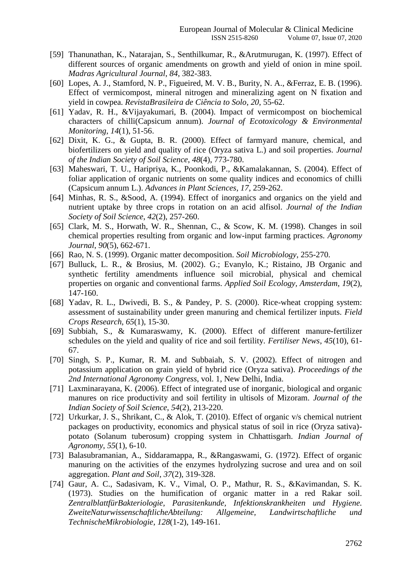- [59] Thanunathan, K., Natarajan, S., Senthilkumar, R., &Arutmurugan, K. (1997). Effect of different sources of organic amendments on growth and yield of onion in mine spoil. *Madras Agricultural Journal*, *84*, 382-383.
- [60] Lopes, A. J., Stamford, N. P., Figueired, M. V. B., Burity, N. A., &Ferraz, E. B. (1996). Effect of vermicompost, mineral nitrogen and mineralizing agent on N fixation and yield in cowpea. *RevistaBrasileira de Ciência to Solo*, *20*, 55-62.
- [61] Yadav, R. H., &Vijayakumari, B. (2004). Impact of vermicompost on biochemical characters of chilli(Capsicum annum). *Journal of Ecotoxicology & Environmental Monitoring*, *14*(1), 51-56.
- [62] Dixit, K. G., & Gupta, B. R. (2000). Effect of farmyard manure, chemical, and biofertilizers on yield and quality of rice (Oryza sativa L.) and soil properties. *Journal of the Indian Society of Soil Science*, *48*(4), 773-780.
- [63] Maheswari, T. U., Haripriya, K., Poonkodi, P., &Kamalakannan, S. (2004). Effect of foliar application of organic nutrients on some quality indices and economics of chilli (Capsicum annum L.). *Advances in Plant Sciences*, *17*, 259-262.
- [64] Minhas, R. S., &Sood, A. (1994). Effect of inorganics and organics on the yield and nutrient uptake by three crops in rotation on an acid alfisol. *Journal of the Indian Society of Soil Science*, *42*(2), 257-260.
- [65] Clark, M. S., Horwath, W. R., Shennan, C., & Scow, K. M. (1998). Changes in soil chemical properties resulting from organic and low-input farming practices. *Agronomy Journal*, *90*(5), 662-671.
- [66] Rao, N. S. (1999). Organic matter decomposition. *Soil Microbiology*, 255-270.
- [67] Bulluck, L. R., & Brosius, M. (2002). G.; Evanylo, K.; Ristaino, JB Organic and synthetic fertility amendments influence soil microbial, physical and chemical properties on organic and conventional farms. *Applied Soil Ecology, Amsterdam*, *19*(2), 147-160.
- [68] Yadav, R. L., Dwivedi, B. S., & Pandey, P. S. (2000). Rice-wheat cropping system: assessment of sustainability under green manuring and chemical fertilizer inputs. *Field Crops Research*, *65*(1), 15-30.
- [69] Subbiah, S., & Kumaraswamy, K. (2000). Effect of different manure-fertilizer schedules on the yield and quality of rice and soil fertility. *Fertiliser News*, *45*(10), 61- 67.
- [70] Singh, S. P., Kumar, R. M. and Subbaiah, S. V. (2002). Effect of nitrogen and potassium application on grain yield of hybrid rice (Oryza sativa). *Proceedings of the 2nd International Agronomy Congress*, vol. 1, New Delhi, India.
- [71] Laxminarayana, K. (2006). Effect of integrated use of inorganic, biological and organic manures on rice productivity and soil fertility in ultisols of Mizoram. *Journal of the Indian Society of Soil Science*, *54*(2), 213-220.
- [72] Urkurkar, J. S., Shrikant, C., & Alok, T. (2010). Effect of organic v/s chemical nutrient packages on productivity, economics and physical status of soil in rice (Oryza sativa) potato (Solanum tuberosum) cropping system in Chhattisgarh. *Indian Journal of Agronomy*, *55*(1), 6-10.
- [73] Balasubramanian, A., Siddaramappa, R., &Rangaswami, G. (1972). Effect of organic manuring on the activities of the enzymes hydrolyzing sucrose and urea and on soil aggregation. *Plant and Soil*, *37*(2), 319-328.
- [74] Gaur, A. C., Sadasivam, K. V., Vimal, O. P., Mathur, R. S., &Kavimandan, S. K. (1973). Studies on the humification of organic matter in a red Rakar soil. *ZentralblattfürBakteriologie, Parasitenkunde, Infektionskrankheiten und Hygiene. ZweiteNaturwissenschaftlicheAbteilung: Allgemeine, Landwirtschaftliche und TechnischeMikrobiologie*, *128*(1-2), 149-161.